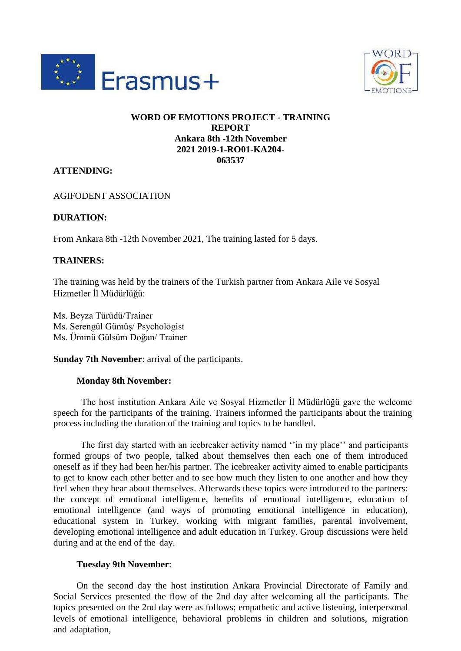



## **WORD OF EMOTIONS PROJECT - TRAINING REPORT Ankara 8th -12th November 2021 2019-1-RO01-KA204- 063537**

# **ATTENDING:**

AGIFODENT ASSOCIATION

### **DURATION:**

From Ankara 8th -12th November 2021, The training lasted for 5 days.

### **TRAINERS:**

The training was held by the trainers of the Turkish partner from Ankara Aile ve Sosyal Hizmetler İl Müdürlüğü:

Ms. Beyza Türüdü/Trainer Ms. Serengül Gümüş/ Psychologist Ms. Ümmü Gülsüm Doğan/ Trainer

**Sunday 7th November**: arrival of the participants.

### **Monday 8th November:**

The host institution Ankara Aile ve Sosyal Hizmetler İl Müdürlüğü gave the welcome speech for the participants of the training. Trainers informed the participants about the training process including the duration of the training and topics to be handled.

The first day started with an icebreaker activity named ''in my place'' and participants formed groups of two people, talked about themselves then each one of them introduced oneself as if they had been her/his partner. The icebreaker activity aimed to enable participants to get to know each other better and to see how much they listen to one another and how they feel when they hear about themselves. Afterwards these topics were introduced to the partners: the concept of emotional intelligence, benefits of emotional intelligence, education of emotional intelligence (and ways of promoting emotional intelligence in education), educational system in Turkey, working with migrant families, parental involvement, developing emotional intelligence and adult education in Turkey. Group discussions were held during and at the end of the day.

### **Tuesday 9th November**:

On the second day the host institution Ankara Provincial Directorate of Family and Social Services presented the flow of the 2nd day after welcoming all the participants. The topics presented on the 2nd day were as follows; empathetic and active listening, interpersonal levels of emotional intelligence, behavioral problems in children and solutions, migration and adaptation,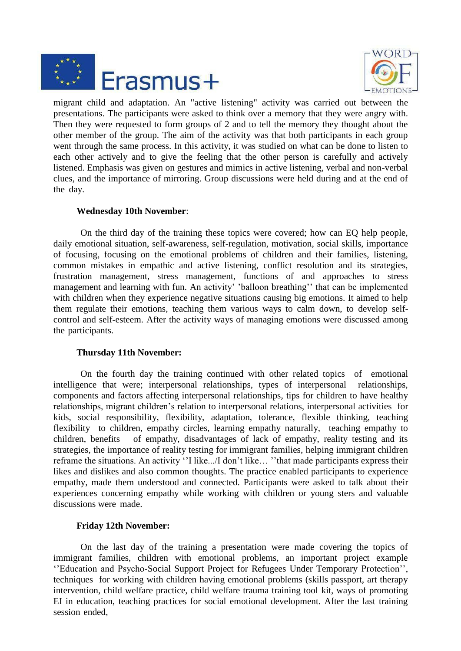



migrant child and adaptation. An "active listening" activity was carried out between the presentations. The participants were asked to think over a memory that they were angry with. Then they were requested to form groups of 2 and to tell the memory they thought about the other member of the group. The aim of the activity was that both participants in each group went through the same process. In this activity, it was studied on what can be done to listen to each other actively and to give the feeling that the other person is carefully and actively listened. Emphasis was given on gestures and mimics in active listening, verbal and non-verbal clues, and the importance of mirroring. Group discussions were held during and at the end of the day.

### **Wednesday 10th November**:

On the third day of the training these topics were covered; how can EQ help people, daily emotional situation, self-awareness, self-regulation, motivation, social skills, importance of focusing, focusing on the emotional problems of children and their families, listening, common mistakes in empathic and active listening, conflict resolution and its strategies, frustration management, stress management, functions of and approaches to stress management and learning with fun. An activity' 'balloon breathing'' that can be implemented with children when they experience negative situations causing big emotions. It aimed to help them regulate their emotions, teaching them various ways to calm down, to develop selfcontrol and self-esteem. After the activity ways of managing emotions were discussed among the participants.

### **Thursday 11th November:**

On the fourth day the training continued with other related topics of emotional intelligence that were; interpersonal relationships, types of interpersonal relationships, components and factors affecting interpersonal relationships, tips for children to have healthy relationships, migrant children's relation to interpersonal relations, interpersonal activities for kids, social responsibility, flexibility, adaptation, tolerance, flexible thinking, teaching flexibility to children, empathy circles, learning empathy naturally, teaching empathy to children, benefits of empathy, disadvantages of lack of empathy, reality testing and its strategies, the importance of reality testing for immigrant families, helping immigrant children reframe the situations. An activity ''I like.../I don't like… ''that made participants express their likes and dislikes and also common thoughts. The practice enabled participants to experience empathy, made them understood and connected. Participants were asked to talk about their experiences concerning empathy while working with children or young sters and valuable discussions were made.

# **Friday 12th November:**

On the last day of the training a presentation were made covering the topics of immigrant families, children with emotional problems, an important project example ''Education and Psycho-Social Support Project for Refugees Under Temporary Protection'', techniques for working with children having emotional problems (skills passport, art therapy intervention, child welfare practice, child welfare trauma training tool kit, ways of promoting EI in education, teaching practices for social emotional development. After the last training session ended,